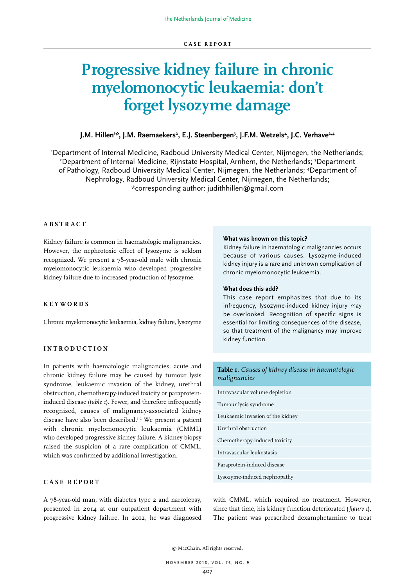# **Progressive kidney failure in chronic myelomonocytic leukaemia: don't forget lysozyme damage**

# J.M. Hillen'\*, J.M. Raemaekers<sup>2</sup>, E.J. Steenbergen<sup>3</sup>, J.F.M. Wetzels<sup>4</sup>, J.C. Verhave<sup>2,4</sup>

1 Department of Internal Medicine, Radboud University Medical Center, Nijmegen, the Netherlands; 2 Department of Internal Medicine, Rijnstate Hospital, Arnhem, the Netherlands; <sup>3</sup>Department of Pathology, Radboud University Medical Center, Nijmegen, the Netherlands; 4 Department of Nephrology, Radboud University Medical Center, Nijmegen, the Netherlands; \*corresponding author: judithhillen@gmail.com

# **ABSTRACT**

Kidney failure is common in haematologic malignancies. However, the nephrotoxic effect of lysozyme is seldom recognized. We present a 78-year-old male with chronic myelomonocytic leukaemia who developed progressive kidney failure due to increased production of lysozyme.

### **KEYWORDS**

Chronic myelomonocytic leukaemia, kidney failure, lysozyme

# **INTRODUCTION**

In patients with haematologic malignancies, acute and chronic kidney failure may be caused by tumour lysis syndrome, leukaemic invasion of the kidney, urethral obstruction, chemotherapy-induced toxicity or paraproteininduced disease (*table 1*). Fewer, and therefore infrequently recognised, causes of malignancy-associated kidney disease have also been described.1,2 We present a patient with chronic myelomonocytic leukaemia (CMML) who developed progressive kidney failure. A kidney biopsy raised the suspicion of a rare complication of CMML, which was confirmed by additional investigation.

### **CASE REPORT**

A 78-year-old man, with diabetes type 2 and narcolepsy, presented in 2014 at our outpatient department with progressive kidney failure. In 2012, he was diagnosed

### **What was known on this topic?**

Kidney failure in haematologic malignancies occurs because of various causes. Lysozyme-induced kidney injury is a rare and unknown complication of chronic myelomonocytic leukaemia.

### **What does this add?**

This case report emphasizes that due to its infrequency, lysozyme-induced kidney injury may be overlooked. Recognition of specific signs is essential for limiting consequences of the disease, so that treatment of the malignancy may improve kidney function.

# **Table 1.** *Causes of kidney disease in haematologic malignancies* Intravascular volume depletion

| Tumour lysis syndrome            |
|----------------------------------|
| Leukaemic invasion of the kidney |
| Urethral obstruction             |
| Chemotherapy-induced toxicity    |
| Intravascular leukostasis        |
| Paraprotein-induced disease      |
| Lysozyme-induced nephropathy     |

with CMML, which required no treatment. However, since that time, his kidney function deteriorated (*figure 1*). The patient was prescribed dexamphetamine to treat

© MacChain. All rights reserved.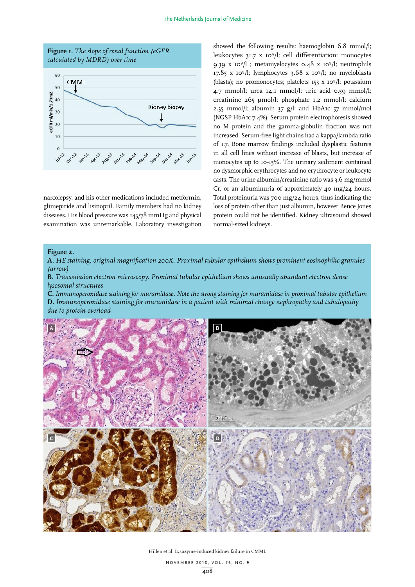

narcolepsy, and his other medications included metformin, glimepiride and lisinopril. Family members had no kidney diseases. His blood pressure was 143/78 mmHg and physical examination was unremarkable. Laboratory investigation showed the following results: haemoglobin 6.8 mmol/l; leukocytes 31.7 x 109/l; cell differentiation: monocytes 9.39 x 109/l ; metamyelocytes 0.48 x 109/l; neutrophils 17.85 x 109/l; lymphocytes 3.68 x 109/l; no myeloblasts (blasts); no promonocytes; platelets 153 x 109/l; potassium 4.7 mmol/l; urea 14.1 mmol/l; uric acid 0.59 mmol/l; creatinine 265 μmol/l; phosphate 1.2 mmol/l; calcium 2.35 mmol/l; albumin 37 g/l; and HbA1c 57 mmol/mol (NGSP HbA1c 7.4%). Serum protein electrophoresis showed no M protein and the gamma-globulin fraction was not increased. Serum-free light chains had a kappa/lambda ratio of 1.7. Bone marrow findings included dysplastic features in all cell lines without increase of blasts, but increase of monocytes up to 10-15%. The urinary sediment contained no dysmorphic erythrocytes and no erythrocyte or leukocyte casts. The urine albumin/creatinine ratio was 3.6 mg/mmol Cr, or an albuminuria of approximately 40 mg/24 hours. Total proteinuria was 700 mg/24 hours, thus indicating the loss of protein other than just albumin, however Bence Jones protein could not be identified. Kidney ultrasound showed normal-sized kidneys.

## **Figure 2.**

**A.** *HE staining, original magnification 200X. Proximal tubular epithelium shows prominent eosinophilic granules (arrow)*

**B.** *Transmission electron microscopy. Proximal tubular epithelium shows unusually abundant electron dense lysosomal structures*

**C.** *Immunoperoxidase staining for muramidase. Note the strong staining for muramidase in proximal tubular epithelium* **D.** *Immunoperoxidase staining for muramidase in a patient with minimal change nephropathy and tubulopathy* 



Hillen et al. Lysozyme-induced kidney failure in CMML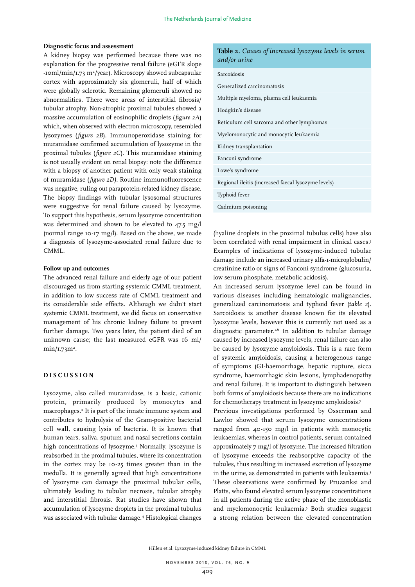### **Diagnostic focus and assessment**

A kidney biopsy was performed because there was no explanation for the progressive renal failure (eGFR slope -10ml/min/1.73 m<sup>2</sup>/year). Microscopy showed subcapsular cortex with approximately six glomeruli, half of which were globally sclerotic. Remaining glomeruli showed no abnormalities. There were areas of interstitial fibrosis/ tubular atrophy. Non-atrophic proximal tubules showed a massive accumulation of eosinophilic droplets (*figure 2A*) which, when observed with electron microscopy, resembled lysozymes (*figure 2B*). Immunoperoxidase staining for muramidase confirmed accumulation of lysozyme in the proximal tubules (*figure 2C*). This muramidase staining is not usually evident on renal biopsy: note the difference with a biopsy of another patient with only weak staining of muramidase (*figure 2D).* Routine immunofluorescence was negative, ruling out paraprotein-related kidney disease. The biopsy findings with tubular lysosomal structures were suggestive for renal failure caused by lysozyme. To support this hypothesis, serum lysozyme concentration was determined and shown to be elevated to 47.5 mg/l (normal range 10-17 mg/l). Based on the above, we made a diagnosis of lysozyme-associated renal failure due to CMML.

# **Follow up and outcomes**

The advanced renal failure and elderly age of our patient discouraged us from starting systemic CMML treatment, in addition to low success rate of CMML treatment and its considerable side effects. Although we didn't start systemic CMML treatment, we did focus on conservative management of his chronic kidney failure to prevent further damage. Two years later, the patient died of an unknown cause; the last measured eGFR was 16 ml/  $min/I.73m^2$ .

### **DISCUSSION**

Lysozyme, also called muramidase, is a basic, cationic protein, primarily produced by monocytes and macrophages.2 It is part of the innate immune system and contributes to hydrolysis of the Gram-positive bacterial cell wall, causing lysis of bacteria. It is known that human tears, saliva, sputum and nasal secretions contain high concentrations of lysozyme.3 Normally, lysozyme is reabsorbed in the proximal tubules, where its concentration in the cortex may be 10-25 times greater than in the medulla. It is generally agreed that high concentrations of lysozyme can damage the proximal tubular cells, ultimately leading to tubular necrosis, tubular atrophy and interstitial fibrosis. Rat studies have shown that accumulation of lysozyme droplets in the proximal tubulus was associated with tubular damage.4 Histological changes

|              |  | <b>Table 2.</b> Causes of increased lysozyme levels in serum |  |
|--------------|--|--------------------------------------------------------------|--|
| and/or urine |  |                                                              |  |

| Sarcoidosis                                         |
|-----------------------------------------------------|
| Generalized carcinomatosis                          |
| Multiple myeloma, plasma cell leukaemia             |
| Hodgkin's disease                                   |
| Reticulum cell sarcoma and other lymphomas          |
| Myelomonocytic and monocytic leukaemia              |
| Kidney transplantation                              |
| Fanconi syndrome                                    |
| Lowe's syndrome                                     |
| Regional ileitis (increased faecal lysozyme levels) |
| Typhoid fever                                       |
| Cadmium poisoning                                   |
|                                                     |

(hyaline droplets in the proximal tubulus cells) have also been correlated with renal impairment in clinical cases.<sup>5</sup> Examples of indications of lysozyme-induced tubular damage include an increased urinary alfa-1-microglobulin/ creatinine ratio or signs of Fanconi syndrome (glucosuria, low serum phosphate, metabolic acidosis).

An increased serum lysozyme level can be found in various diseases including hematologic malignancies, generalized carcinomatosis and typhoid fever (*table 2*). Sarcoidosis is another disease known for its elevated lysozyme levels, however this is currently not used as a diagnostic parameter.<sup>1,6</sup> In addition to tubular damage caused by increased lysozyme levels, renal failure can also be caused by lysozyme amyloidosis. This is a rare form of systemic amyloidosis, causing a heterogenous range of symptoms (GI-haemorrhage, hepatic rupture, sicca syndrome, haemorrhagic skin lesions, lymphadenopathy and renal failure). It is important to distinguish between both forms of amyloidosis because there are no indications for chemotherapy treatment in lysozyme amyloidosis.7

Previous investigations performed by Osserman and Lawlor showed that serum lysozyme concentrations ranged from 40-150 mg/l in patients with monocytic leukaemias, whereas in control patients, serum contained approximately 7 mg/l of lysozyme. The increased filtration of lysozyme exceeds the reabsorptive capacity of the tubules, thus resulting in increased excretion of lysozyme in the urine, as demonstrated in patients with leukaemia.<sup>3</sup> These observations were confirmed by Pruzanksi and Platts, who found elevated serum lysozyme concentrations in all patients during the active phase of the monoblastic and myelomonocytic leukaemia.5 Both studies suggest a strong relation between the elevated concentration